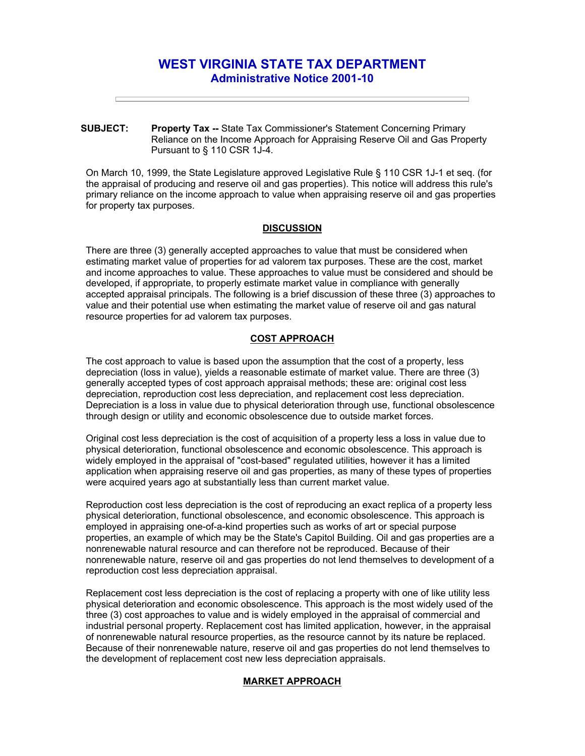# **WEST VIRGINIA STATE TAX DEPARTMENT Administrative Notice 2001-10**

**SUBJECT: Property Tax --** State Tax Commissioner's Statement Concerning Primary Reliance on the Income Approach for Appraising Reserve Oil and Gas Property Pursuant to § 110 CSR 1J-4.

On March 10, 1999, the State Legislature approved Legislative Rule § 110 CSR 1J-1 et seq. (for the appraisal of producing and reserve oil and gas properties). This notice will address this rule's primary reliance on the income approach to value when appraising reserve oil and gas properties for property tax purposes.

## **DISCUSSION**

There are three (3) generally accepted approaches to value that must be considered when estimating market value of properties for ad valorem tax purposes. These are the cost, market and income approaches to value. These approaches to value must be considered and should be developed, if appropriate, to properly estimate market value in compliance with generally accepted appraisal principals. The following is a brief discussion of these three (3) approaches to value and their potential use when estimating the market value of reserve oil and gas natural resource properties for ad valorem tax purposes.

## **COST APPROACH**

The cost approach to value is based upon the assumption that the cost of a property, less depreciation (loss in value), yields a reasonable estimate of market value. There are three (3) generally accepted types of cost approach appraisal methods; these are: original cost less depreciation, reproduction cost less depreciation, and replacement cost less depreciation. Depreciation is a loss in value due to physical deterioration through use, functional obsolescence through design or utility and economic obsolescence due to outside market forces.

Original cost less depreciation is the cost of acquisition of a property less a loss in value due to physical deterioration, functional obsolescence and economic obsolescence. This approach is widely employed in the appraisal of "cost-based" regulated utilities, however it has a limited application when appraising reserve oil and gas properties, as many of these types of properties were acquired years ago at substantially less than current market value.

Reproduction cost less depreciation is the cost of reproducing an exact replica of a property less physical deterioration, functional obsolescence, and economic obsolescence. This approach is employed in appraising one-of-a-kind properties such as works of art or special purpose properties, an example of which may be the State's Capitol Building. Oil and gas properties are a nonrenewable natural resource and can therefore not be reproduced. Because of their nonrenewable nature, reserve oil and gas properties do not lend themselves to development of a reproduction cost less depreciation appraisal.

Replacement cost less depreciation is the cost of replacing a property with one of like utility less physical deterioration and economic obsolescence. This approach is the most widely used of the three (3) cost approaches to value and is widely employed in the appraisal of commercial and industrial personal property. Replacement cost has limited application, however, in the appraisal of nonrenewable natural resource properties, as the resource cannot by its nature be replaced. Because of their nonrenewable nature, reserve oil and gas properties do not lend themselves to the development of replacement cost new less depreciation appraisals.

### **MARKET APPROACH**